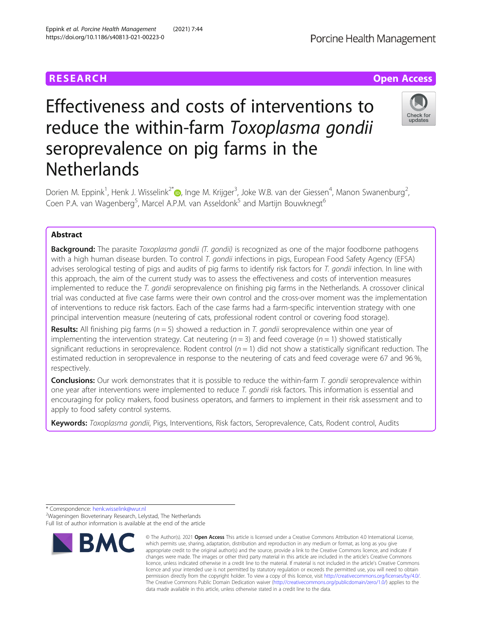# Effectiveness and costs of interventions to reduce the within-farm Toxoplasma gondii seroprevalence on pig farms in the **Netherlands**

Dorien M. Eppink<sup>1</sup>[,](http://orcid.org/0000-0002-3747-8054) Henk J. Wisselink<sup>2\*</sup> (**p**, Inge M. Krijger<sup>3</sup>, Joke W.B. van der Giessen<sup>4</sup>, Manon Swanenburg<sup>2</sup> , Coen P.A. van Wagenberg<sup>5</sup>, Marcel A.P.M. van Asseldonk<sup>5</sup> and Martijn Bouwknegt<sup>6</sup>

## Abstract

**Background:** The parasite *Toxoplasma gondii* (T. gondii) is recognized as one of the major foodborne pathogens with a high human disease burden. To control T. gondii infections in pigs, European Food Safety Agency (EFSA) advises serological testing of pigs and audits of pig farms to identify risk factors for T. gondii infection. In line with this approach, the aim of the current study was to assess the effectiveness and costs of intervention measures implemented to reduce the T. gondii seroprevalence on finishing pig farms in the Netherlands. A crossover clinical trial was conducted at five case farms were their own control and the cross-over moment was the implementation of interventions to reduce risk factors. Each of the case farms had a farm-specific intervention strategy with one principal intervention measure (neutering of cats, professional rodent control or covering food storage).

**Results:** All finishing pig farms ( $n = 5$ ) showed a reduction in T. gondii seroprevalence within one year of implementing the intervention strategy. Cat neutering  $(n = 3)$  and feed coverage  $(n = 1)$  showed statistically significant reductions in seroprevalence. Rodent control  $(n = 1)$  did not show a statistically significant reduction. The estimated reduction in seroprevalence in response to the neutering of cats and feed coverage were 67 and 96 %, respectively.

Conclusions: Our work demonstrates that it is possible to reduce the within-farm T. gondii seroprevalence within one year after interventions were implemented to reduce T. gondii risk factors. This information is essential and encouraging for policy makers, food business operators, and farmers to implement in their risk assessment and to apply to food safety control systems.

Keywords: Toxoplasma gondii, Pigs, Interventions, Risk factors, Seroprevalence, Cats, Rodent control, Audits



data made available in this article, unless otherwise stated in a credit line to the data.





# **RESEARCH CHE Open Access**

<sup>\*</sup> Correspondence: [henk.wisselink@wur.nl](mailto:henk.wisselink@wur.nl) <sup>2</sup> Wageningen Bioveterinary Research, Lelystad, The Netherlands Full list of author information is available at the end of the article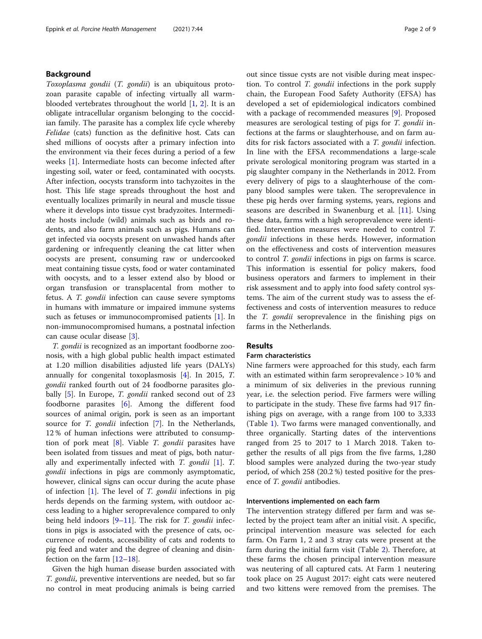### Background

Toxoplasma gondii (T. gondii) is an ubiquitous protozoan parasite capable of infecting virtually all warmblooded vertebrates throughout the world  $[1, 2]$  $[1, 2]$  $[1, 2]$  $[1, 2]$  $[1, 2]$ . It is an obligate intracellular organism belonging to the coccidian family. The parasite has a complex life cycle whereby Felidae (cats) function as the definitive host. Cats can shed millions of oocysts after a primary infection into the environment via their feces during a period of a few weeks [[1\]](#page-8-0). Intermediate hosts can become infected after ingesting soil, water or feed, contaminated with oocysts. After infection, oocysts transform into tachyzoites in the host. This life stage spreads throughout the host and eventually localizes primarily in neural and muscle tissue where it develops into tissue cyst bradyzoites. Intermediate hosts include (wild) animals such as birds and rodents, and also farm animals such as pigs. Humans can get infected via oocysts present on unwashed hands after gardening or infrequently cleaning the cat litter when oocysts are present, consuming raw or undercooked meat containing tissue cysts, food or water contaminated with oocysts, and to a lesser extend also by blood or organ transfusion or transplacental from mother to fetus. A T. gondii infection can cause severe symptoms in humans with immature or impaired immune systems such as fetuses or immunocompromised patients [[1\]](#page-8-0). In non-immunocompromised humans, a postnatal infection can cause ocular disease [\[3](#page-8-0)].

T. gondii is recognized as an important foodborne zoonosis, with a high global public health impact estimated at 1.20 million disabilities adjusted life years (DALYs) annually for congenital toxoplasmosis [\[4](#page-8-0)]. In 2015, T. gondii ranked fourth out of 24 foodborne parasites glo-bally [[5\]](#page-8-0). In Europe, *T. gondii* ranked second out of 23 foodborne parasites [[6\]](#page-8-0). Among the different food sources of animal origin, pork is seen as an important source for *T. gondii* infection [[7\]](#page-8-0). In the Netherlands, 12 % of human infections were attributed to consumption of pork meat  $[8]$  $[8]$ . Viable *T. gondii* parasites have been isolated from tissues and meat of pigs, both naturally and experimentally infected with  $T$ . gondii [\[1\]](#page-8-0).  $T$ . gondii infections in pigs are commonly asymptomatic, however, clinical signs can occur during the acute phase of infection  $[1]$  $[1]$ . The level of T. gondii infections in pig herds depends on the farming system, with outdoor access leading to a higher seroprevalence compared to only being held indoors  $[9-11]$  $[9-11]$  $[9-11]$  $[9-11]$ . The risk for *T. gondii* infections in pigs is associated with the presence of cats, occurrence of rodents, accessibility of cats and rodents to pig feed and water and the degree of cleaning and disinfection on the farm [\[12](#page-8-0)–[18\]](#page-8-0).

Given the high human disease burden associated with T. gondii, preventive interventions are needed, but so far no control in meat producing animals is being carried out since tissue cysts are not visible during meat inspection. To control T. gondii infections in the pork supply chain, the European Food Safety Authority (EFSA) has developed a set of epidemiological indicators combined with a package of recommended measures [[9\]](#page-8-0). Proposed measures are serological testing of pigs for T. gondii infections at the farms or slaughterhouse, and on farm audits for risk factors associated with a T. gondii infection. In line with the EFSA recommendations a large-scale private serological monitoring program was started in a pig slaughter company in the Netherlands in 2012. From every delivery of pigs to a slaughterhouse of the company blood samples were taken. The seroprevalence in these pig herds over farming systems, years, regions and seasons are described in Swanenburg et al. [\[11](#page-8-0)]. Using these data, farms with a high seroprevalence were identified. Intervention measures were needed to control T. gondii infections in these herds. However, information on the effectiveness and costs of intervention measures to control T. gondii infections in pigs on farms is scarce. This information is essential for policy makers, food business operators and farmers to implement in their risk assessment and to apply into food safety control systems. The aim of the current study was to assess the effectiveness and costs of intervention measures to reduce the T. gondii seroprevalence in the finishing pigs on farms in the Netherlands.

#### Results

#### Farm characteristics

Nine farmers were approached for this study, each farm with an estimated within farm seroprevalence > 10 % and a minimum of six deliveries in the previous running year, i.e. the selection period. Five farmers were willing to participate in the study. These five farms had 917 finishing pigs on average, with a range from 100 to 3,333 (Table [1](#page-2-0)). Two farms were managed conventionally, and three organically. Starting dates of the interventions ranged from 25 to 2017 to 1 March 2018. Taken together the results of all pigs from the five farms, 1,280 blood samples were analyzed during the two-year study period, of which 258 (20.2 %) tested positive for the presence of *T. gondii* antibodies.

#### Interventions implemented on each farm

The intervention strategy differed per farm and was selected by the project team after an initial visit. A specific, principal intervention measure was selected for each farm. On Farm 1, 2 and 3 stray cats were present at the farm during the initial farm visit (Table [2\)](#page-2-0). Therefore, at these farms the chosen principal intervention measure was neutering of all captured cats. At Farm 1 neutering took place on 25 August 2017: eight cats were neutered and two kittens were removed from the premises. The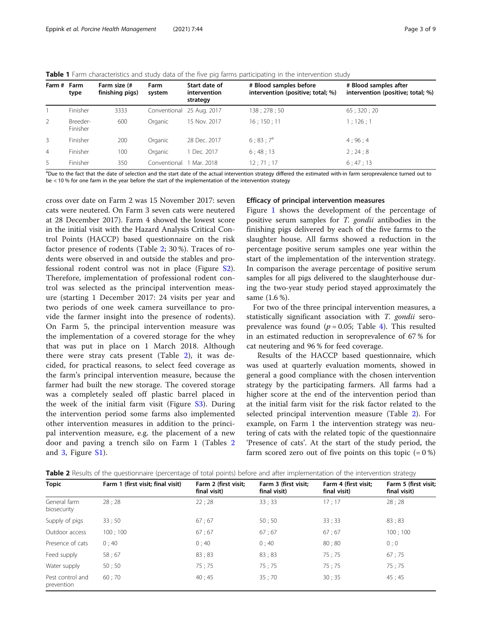<span id="page-2-0"></span>**Table 1** Farm characteristics and study data of the five pig farms participating in the intervention study

| Farm # Farm    | type                 | Farm size (#<br>finishing pigs) | Farm<br>system | Start date of<br>intervention<br>strategy | # Blood samples before<br>intervention (positive; total; %) | # Blood samples after<br>intervention (positive; total; %) |
|----------------|----------------------|---------------------------------|----------------|-------------------------------------------|-------------------------------------------------------------|------------------------------------------------------------|
|                | Finisher             | 3333                            |                | Conventional 25 Aug. 2017                 | 138 ; 278 ; 50                                              | 65;320;20                                                  |
| $\overline{2}$ | Breeder-<br>Finisher | 600                             | Organic        | 15 Nov. 2017                              | $16$ ; $150$ ; $11$                                         | 1; 126; 1                                                  |
| $\overline{3}$ | Finisher             | 200                             | Organic        | 28 Dec. 2017                              | $6:83:7^{a}$                                                | 4:96:4                                                     |
| $\overline{4}$ | Finisher             | 100                             | Organic        | 1 Dec. 2017                               | 6:48:13                                                     | 2:24:8                                                     |
| 5.             | Finisher             | 350                             | Conventional   | 1 Mar. 2018                               | 12:71:17                                                    | 6:47:13                                                    |

<sup>a</sup>Due to the fact that the date of selection and the start date of the actual intervention strategy differed the estimated with-in farm seroprevalence turned out to be < 10 % for one farm in the year before the start of the implementation of the intervention strategy

cross over date on Farm 2 was 15 November 2017: seven cats were neutered. On Farm 3 seven cats were neutered at 28 December 2017). Farm 4 showed the lowest score in the initial visit with the Hazard Analysis Critical Control Points (HACCP) based questionnaire on the risk factor presence of rodents (Table 2; 30 %). Traces of rodents were observed in and outside the stables and professional rodent control was not in place (Figure [S2](#page-7-0)). Therefore, implementation of professional rodent control was selected as the principal intervention measure (starting 1 December 2017: 24 visits per year and two periods of one week camera surveillance to provide the farmer insight into the presence of rodents). On Farm 5, the principal intervention measure was the implementation of a covered storage for the whey that was put in place on 1 March 2018. Although there were stray cats present (Table 2), it was decided, for practical reasons, to select feed coverage as the farm's principal intervention measure, because the farmer had built the new storage. The covered storage was a completely sealed off plastic barrel placed in the week of the initial farm visit (Figure [S3\)](#page-7-0). During the intervention period some farms also implemented other intervention measures in addition to the principal intervention measure, e.g. the placement of a new door and paving a trench silo on Farm 1 (Tables 2 and [3,](#page-3-0) Figure [S1](#page-7-0)).

#### Efficacy of principal intervention measures

Figure [1](#page-4-0) shows the development of the percentage of positive serum samples for T. gondii antibodies in the finishing pigs delivered by each of the five farms to the slaughter house. All farms showed a reduction in the percentage positive serum samples one year within the start of the implementation of the intervention strategy. In comparison the average percentage of positive serum samples for all pigs delivered to the slaughterhouse during the two-year study period stayed approximately the same (1.6 %).

For two of the three principal intervention measures, a statistically significant association with T. gondii seroprevalence was found ( $p = 0.05$ ; Table [4\)](#page-4-0). This resulted in an estimated reduction in seroprevalence of 67 % for cat neutering and 96 % for feed coverage.

Results of the HACCP based questionnaire, which was used at quarterly evaluation moments, showed in general a good compliance with the chosen intervention strategy by the participating farmers. All farms had a higher score at the end of the intervention period than at the initial farm visit for the risk factor related to the selected principal intervention measure (Table 2). For example, on Farm 1 the intervention strategy was neutering of cats with the related topic of the questionnaire 'Presence of cats'. At the start of the study period, the farm scored zero out of five points on this topic  $(= 0\%)$ 

| <b>Topic</b>                   | Farm 1 (first visit; final visit) | Farm 2 (first visit;<br>final visit) | Farm 3 (first visit;<br>final visit) | Farm 4 (first visit;<br>final visit) | Farm 5 (first visit;<br>final visit) |
|--------------------------------|-----------------------------------|--------------------------------------|--------------------------------------|--------------------------------------|--------------------------------------|
| General farm<br>biosecurity    | 28:28                             | 22:28                                | 33:33                                | 17:17                                | 28:28                                |
| Supply of pigs                 | 33;50                             | 67:67                                | 50:50                                | 33:33                                | 83:83                                |
| Outdoor access                 | 100:100                           | 67:67                                | 67:67                                | 67:67                                | 100:100                              |
| Presence of cats               | 0:40                              | 0;40                                 | 0;40                                 | 80;80                                | 0:0                                  |
| Feed supply                    | 58:67                             | 83;83                                | 83:83                                | 75:75                                | 67;75                                |
| Water supply                   | 50:50                             | 75:75                                | 75:75                                | 75:75                                | 75:75                                |
| Pest control and<br>prevention | 60:70                             | 40:45                                | 35:70                                | 30:35                                | 45:45                                |

Table 2 Results of the questionnaire (percentage of total points) before and after implementation of the intervention strategy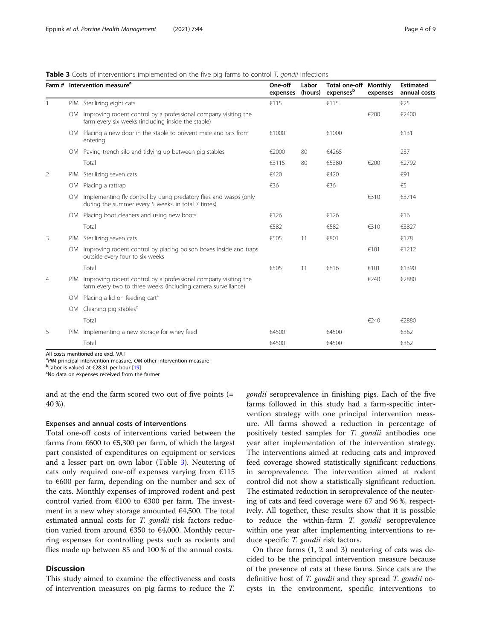#### <span id="page-3-0"></span>**Table 3** Costs of interventions implemented on the five pig farms to control T. gondii infections

|                | Farm # Intervention measure <sup>a</sup>                                                                                             | One-off<br>expenses | Labor<br>(hours) | <b>Total one-off Monthly</b><br>expensesb | expenses | <b>Estimated</b><br>annual costs<br>$\epsilon$ 25 |
|----------------|--------------------------------------------------------------------------------------------------------------------------------------|---------------------|------------------|-------------------------------------------|----------|---------------------------------------------------|
|                | PIM Sterilizing eight cats                                                                                                           | €115                |                  | €115                                      |          |                                                   |
|                | OM Improving rodent control by a professional company visiting the<br>farm every six weeks (including inside the stable)             |                     |                  |                                           | €200     | €2400                                             |
|                | OM Placing a new door in the stable to prevent mice and rats from<br>entering                                                        | €1000               |                  | €1000                                     |          | €131                                              |
|                | OM Paving trench silo and tidying up between pig stables                                                                             | €2000               | 80               | €4265                                     |          | 237                                               |
|                | Total                                                                                                                                | €3115               | 80               | €5380                                     | €200     | €2792                                             |
| 2              | PIM Sterilizing seven cats                                                                                                           | €420                |                  | €420                                      |          | €91                                               |
|                | OM Placing a rattrap                                                                                                                 | €36                 |                  | €36                                       |          | €5                                                |
|                | OM Implementing fly control by using predatory flies and wasps (only<br>during the summer every 5 weeks, in total 7 times)           |                     |                  |                                           | €310     | €3714                                             |
|                | OM Placing boot cleaners and using new boots                                                                                         | €126                |                  | €126                                      |          | €16                                               |
|                | Total                                                                                                                                | €582                |                  | €582                                      | €310     | €3827                                             |
| 3              | PIM Sterilizing seven cats                                                                                                           | €505                | 11               | €801                                      |          | €178                                              |
|                | OM Improving rodent control by placing poison boxes inside and traps<br>outside every four to six weeks                              |                     |                  |                                           | €101     | €1212                                             |
|                | Total                                                                                                                                | €505                | 11               | €816                                      | €101     | €1390                                             |
| $\overline{4}$ | PIM Improving rodent control by a professional company visiting the<br>farm every two to three weeks (including camera surveillance) |                     |                  |                                           | €240     | €2880                                             |
|                | OM Placing a lid on feeding cart <sup>c</sup>                                                                                        |                     |                  |                                           |          |                                                   |
|                | OM Cleaning pig stables <sup>c</sup>                                                                                                 |                     |                  |                                           |          |                                                   |
|                | Total                                                                                                                                |                     |                  |                                           | €240     | €2880                                             |
| 5              | PIM Implementing a new storage for whey feed                                                                                         | €4500               |                  | €4500                                     |          | €362                                              |
|                | Total                                                                                                                                | €4500               |                  | €4500                                     |          | €362                                              |

All costs mentioned are excl. VAT

<sup>a</sup> PIM principal intervention measure, OM other intervention measure<br><sup>b</sup>l abor is valued at £28.31 per bour [10]

<sup>b</sup>Labor is valued at €28.31 per hour [\[19](#page-8-0)]

No data on expenses received from the farmer

and at the end the farm scored two out of five points (= 40 %).

#### Expenses and annual costs of interventions

Total one-off costs of interventions varied between the farms from  $\epsilon$ 600 to  $\epsilon$ 5,300 per farm, of which the largest part consisted of expenditures on equipment or services and a lesser part on own labor (Table 3). Neutering of cats only required one-off expenses varying from  $£115$ to €600 per farm, depending on the number and sex of the cats. Monthly expenses of improved rodent and pest control varied from €100 to €300 per farm. The investment in a new whey storage amounted  $€4,500$ . The total estimated annual costs for *T. gondii* risk factors reduction varied from around  $\epsilon$ 350 to  $\epsilon$ 4,000. Monthly recurring expenses for controlling pests such as rodents and flies made up between 85 and 100 % of the annual costs.

#### **Discussion**

This study aimed to examine the effectiveness and costs of intervention measures on pig farms to reduce the T. gondii seroprevalence in finishing pigs. Each of the five farms followed in this study had a farm-specific intervention strategy with one principal intervention measure. All farms showed a reduction in percentage of positively tested samples for T. gondii antibodies one year after implementation of the intervention strategy. The interventions aimed at reducing cats and improved feed coverage showed statistically significant reductions in seroprevalence. The intervention aimed at rodent control did not show a statistically significant reduction. The estimated reduction in seroprevalence of the neutering of cats and feed coverage were 67 and 96 %, respectively. All together, these results show that it is possible to reduce the within-farm *T. gondii* seroprevalence within one year after implementing interventions to reduce specific T. gondii risk factors.

On three farms (1, 2 and 3) neutering of cats was decided to be the principal intervention measure because of the presence of cats at these farms. Since cats are the definitive host of T. gondii and they spread T. gondii oocysts in the environment, specific interventions to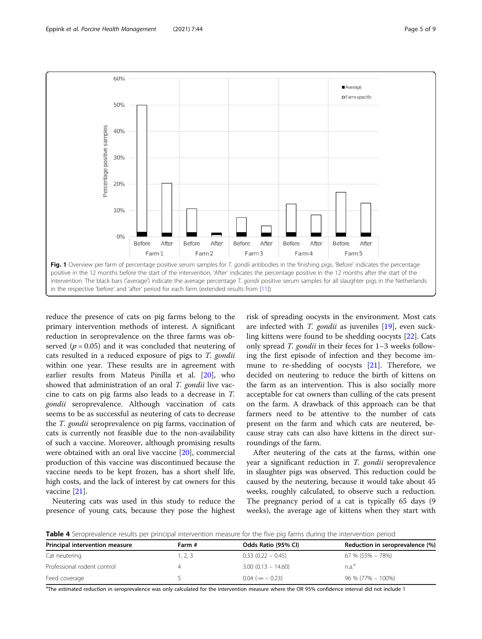<span id="page-4-0"></span>

reduce the presence of cats on pig farms belong to the primary intervention methods of interest. A significant reduction in seroprevalence on the three farms was observed ( $p = 0.05$ ) and it was concluded that neutering of cats resulted in a reduced exposure of pigs to T. gondii within one year. These results are in agreement with earlier results from Mateus Pinilla et al. [\[20](#page-8-0)], who showed that administration of an oral T. gondii live vaccine to cats on pig farms also leads to a decrease in T. gondii seroprevalence. Although vaccination of cats seems to be as successful as neutering of cats to decrease the T. gondii seroprevalence on pig farms, vaccination of cats is currently not feasible due to the non-availability of such a vaccine. Moreover, although promising results were obtained with an oral live vaccine [\[20](#page-8-0)], commercial production of this vaccine was discontinued because the vaccine needs to be kept frozen, has a short shelf life, high costs, and the lack of interest by cat owners for this vaccine [[21\]](#page-8-0).

Neutering cats was used in this study to reduce the presence of young cats, because they pose the highest

risk of spreading oocysts in the environment. Most cats are infected with  $T.$  gondii as juveniles  $[19]$  $[19]$ , even suckling kittens were found to be shedding oocysts [\[22](#page-8-0)]. Cats only spread T. gondii in their feces for 1–3 weeks following the first episode of infection and they become immune to re-shedding of oocysts [\[21\]](#page-8-0). Therefore, we decided on neutering to reduce the birth of kittens on the farm as an intervention. This is also socially more acceptable for cat owners than culling of the cats present on the farm. A drawback of this approach can be that farmers need to be attentive to the number of cats present on the farm and which cats are neutered, because stray cats can also have kittens in the direct surroundings of the farm.

After neutering of the cats at the farms, within one year a significant reduction in T. gondii seroprevalence in slaughter pigs was observed. This reduction could be caused by the neutering, because it would take about 45 weeks, roughly calculated, to observe such a reduction. The pregnancy period of a cat is typically 65 days (9 weeks), the average age of kittens when they start with

Table 4 Seroprevalence results per principal intervention measure for the five pig farms during the intervention period

| Principal intervention measure | Farm #  | Odds Ratio (95% CI)        | Reduction in seroprevalence (%) |
|--------------------------------|---------|----------------------------|---------------------------------|
| Cat neutering                  | l, 2, 3 | $0.33(0.22 - 0.45)$        | 67 % (55% – 78%)                |
| Professional rodent control    |         | $3.00(0.13 - 14.60)$       | n.a. <sup>d</sup>               |
| Feed coverage                  |         | $0.04$ ( $-\infty$ - 0.23) | $96\% (77\% - 100\%)$           |

<sup>a</sup>The estimated reduction in seroprevalence was only calculated for the intervention measure where the OR 95% confidence interval did not include 1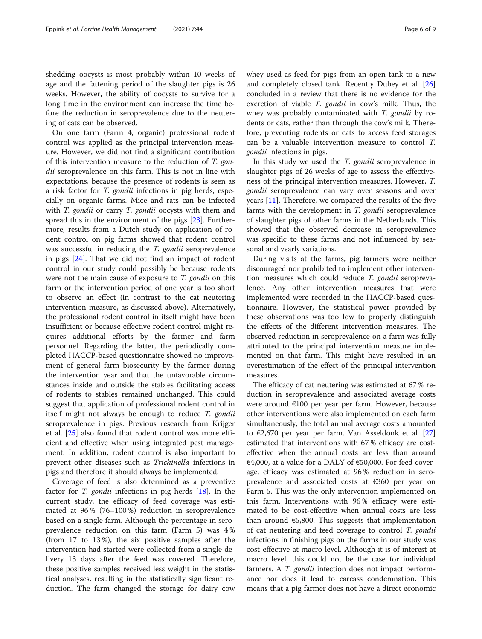shedding oocysts is most probably within 10 weeks of age and the fattening period of the slaughter pigs is 26 weeks. However, the ability of oocysts to survive for a long time in the environment can increase the time before the reduction in seroprevalence due to the neutering of cats can be observed.

On one farm (Farm 4, organic) professional rodent control was applied as the principal intervention measure. However, we did not find a significant contribution of this intervention measure to the reduction of T. gondii seroprevalence on this farm. This is not in line with expectations, because the presence of rodents is seen as a risk factor for *T. gondii* infections in pig herds, especially on organic farms. Mice and rats can be infected with *T. gondii* or carry *T. gondii* oocysts with them and spread this in the environment of the pigs [[23\]](#page-8-0). Furthermore, results from a Dutch study on application of rodent control on pig farms showed that rodent control was successful in reducing the *T. gondii* seroprevalence in pigs [\[24](#page-8-0)]. That we did not find an impact of rodent control in our study could possibly be because rodents were not the main cause of exposure to T. gondii on this farm or the intervention period of one year is too short to observe an effect (in contrast to the cat neutering intervention measure, as discussed above). Alternatively, the professional rodent control in itself might have been insufficient or because effective rodent control might requires additional efforts by the farmer and farm personnel. Regarding the latter, the periodically completed HACCP-based questionnaire showed no improvement of general farm biosecurity by the farmer during the intervention year and that the unfavorable circumstances inside and outside the stables facilitating access of rodents to stables remained unchanged. This could suggest that application of professional rodent control in itself might not always be enough to reduce T. gondii seroprevalence in pigs. Previous research from Krijger et al. [[25\]](#page-8-0) also found that rodent control was more efficient and effective when using integrated pest management. In addition, rodent control is also important to prevent other diseases such as Trichinella infections in pigs and therefore it should always be implemented.

Coverage of feed is also determined as a preventive factor for *T. gondii* infections in pig herds [\[18](#page-8-0)]. In the current study, the efficacy of feed coverage was estimated at 96 % (76–100 %) reduction in seroprevalence based on a single farm. Although the percentage in seroprevalence reduction on this farm (Farm 5) was 4 % (from 17 to 13 %), the six positive samples after the intervention had started were collected from a single delivery 13 days after the feed was covered. Therefore, these positive samples received less weight in the statistical analyses, resulting in the statistically significant reduction. The farm changed the storage for dairy cow whey used as feed for pigs from an open tank to a new and completely closed tank. Recently Dubey et al. [[26](#page-8-0)] concluded in a review that there is no evidence for the excretion of viable *T. gondii* in cow's milk. Thus, the whey was probably contaminated with T. gondii by rodents or cats, rather than through the cow's milk. Therefore, preventing rodents or cats to access feed storages can be a valuable intervention measure to control T. gondii infections in pigs.

In this study we used the T. gondii seroprevalence in slaughter pigs of 26 weeks of age to assess the effectiveness of the principal intervention measures. However, T. gondii seroprevalence can vary over seasons and over years [\[11](#page-8-0)]. Therefore, we compared the results of the five farms with the development in T. gondii seroprevalence of slaughter pigs of other farms in the Netherlands. This showed that the observed decrease in seroprevalence was specific to these farms and not influenced by seasonal and yearly variations.

During visits at the farms, pig farmers were neither discouraged nor prohibited to implement other intervention measures which could reduce T. gondii seroprevalence. Any other intervention measures that were implemented were recorded in the HACCP-based questionnaire. However, the statistical power provided by these observations was too low to properly distinguish the effects of the different intervention measures. The observed reduction in seroprevalence on a farm was fully attributed to the principal intervention measure implemented on that farm. This might have resulted in an overestimation of the effect of the principal intervention measures.

The efficacy of cat neutering was estimated at 67 % reduction in seroprevalence and associated average costs were around €100 per year per farm. However, because other interventions were also implemented on each farm simultaneously, the total annual average costs amounted to  $\epsilon$ 2,670 per year per farm. Van Asseldonk et al. [[27](#page-8-0)] estimated that interventions with 67 % efficacy are costeffective when the annual costs are less than around €4,000, at a value for a DALY of  $€50,000$ . For feed coverage, efficacy was estimated at 96 % reduction in seroprevalence and associated costs at €360 per year on Farm 5. This was the only intervention implemented on this farm. Interventions with 96 % efficacy were estimated to be cost-effective when annual costs are less than around  $€5,800$ . This suggests that implementation of cat neutering and feed coverage to control T. gondii infections in finishing pigs on the farms in our study was cost-effective at macro level. Although it is of interest at macro level, this could not be the case for individual farmers. A *T. gondii* infection does not impact performance nor does it lead to carcass condemnation. This means that a pig farmer does not have a direct economic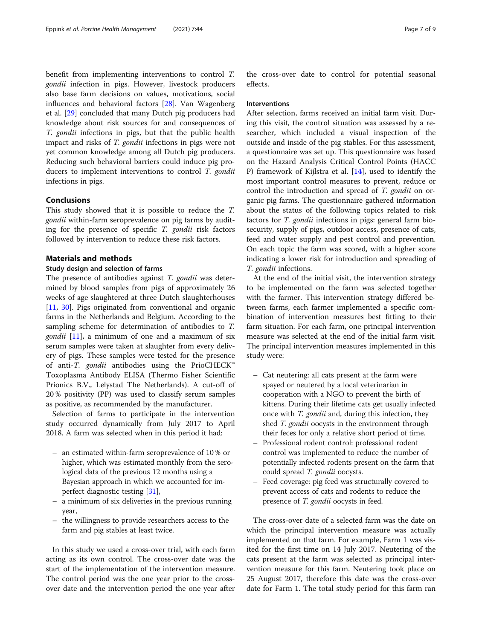benefit from implementing interventions to control T. gondii infection in pigs. However, livestock producers also base farm decisions on values, motivations, social influences and behavioral factors [\[28](#page-8-0)]. Van Wagenberg et al. [[29](#page-8-0)] concluded that many Dutch pig producers had knowledge about risk sources for and consequences of T. gondii infections in pigs, but that the public health impact and risks of T. gondii infections in pigs were not yet common knowledge among all Dutch pig producers. Reducing such behavioral barriers could induce pig producers to implement interventions to control T. gondii infections in pigs.

#### Conclusions

This study showed that it is possible to reduce the T. gondii within-farm seroprevalence on pig farms by auditing for the presence of specific  $T$ . gondii risk factors followed by intervention to reduce these risk factors.

#### Materials and methods

#### Study design and selection of farms

The presence of antibodies against *T. gondii* was determined by blood samples from pigs of approximately 26 weeks of age slaughtered at three Dutch slaughterhouses [[11,](#page-8-0) [30\]](#page-8-0). Pigs originated from conventional and organic farms in the Netherlands and Belgium. According to the sampling scheme for determination of antibodies to T. *gondii* [[11\]](#page-8-0), a minimum of one and a maximum of six serum samples were taken at slaughter from every delivery of pigs. These samples were tested for the presence of anti-T. gondii antibodies using the PrioCHECK™ Toxoplasma Antibody ELISA (Thermo Fisher Scientific Prionics B.V., Lelystad The Netherlands). A cut-off of 20 % positivity (PP) was used to classify serum samples as positive, as recommended by the manufacturer.

Selection of farms to participate in the intervention study occurred dynamically from July 2017 to April 2018. A farm was selected when in this period it had:

- an estimated within-farm seroprevalence of 10 % or higher, which was estimated monthly from the serological data of the previous 12 months using a Bayesian approach in which we accounted for imperfect diagnostic testing [[31](#page-8-0)],
- a minimum of six deliveries in the previous running year,
- the willingness to provide researchers access to the farm and pig stables at least twice.

In this study we used a cross-over trial, with each farm acting as its own control. The cross-over date was the start of the implementation of the intervention measure. The control period was the one year prior to the crossover date and the intervention period the one year after

the cross-over date to control for potential seasonal effects.

#### Interventions

After selection, farms received an initial farm visit. During this visit, the control situation was assessed by a researcher, which included a visual inspection of the outside and inside of the pig stables. For this assessment, a questionnaire was set up. This questionnaire was based on the Hazard Analysis Critical Control Points (HACC P) framework of Kijlstra et al. [[14](#page-8-0)], used to identify the most important control measures to prevent, reduce or control the introduction and spread of T. gondii on organic pig farms. The questionnaire gathered information about the status of the following topics related to risk factors for T. gondii infections in pigs: general farm biosecurity, supply of pigs, outdoor access, presence of cats, feed and water supply and pest control and prevention. On each topic the farm was scored, with a higher score indicating a lower risk for introduction and spreading of T. gondii infections.

At the end of the initial visit, the intervention strategy to be implemented on the farm was selected together with the farmer. This intervention strategy differed between farms, each farmer implemented a specific combination of intervention measures best fitting to their farm situation. For each farm, one principal intervention measure was selected at the end of the initial farm visit. The principal intervention measures implemented in this study were:

- Cat neutering: all cats present at the farm were spayed or neutered by a local veterinarian in cooperation with a NGO to prevent the birth of kittens. During their lifetime cats get usually infected once with T. gondii and, during this infection, they shed T. gondii oocysts in the environment through their feces for only a relative short period of time.
- Professional rodent control: professional rodent control was implemented to reduce the number of potentially infected rodents present on the farm that could spread T. gondii oocysts.
- Feed coverage: pig feed was structurally covered to prevent access of cats and rodents to reduce the presence of T. gondii oocysts in feed.

The cross-over date of a selected farm was the date on which the principal intervention measure was actually implemented on that farm. For example, Farm 1 was visited for the first time on 14 July 2017. Neutering of the cats present at the farm was selected as principal intervention measure for this farm. Neutering took place on 25 August 2017, therefore this date was the cross-over date for Farm 1. The total study period for this farm ran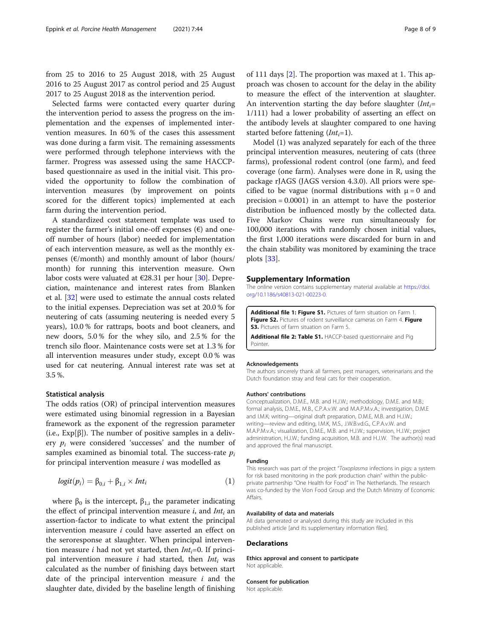<span id="page-7-0"></span>from 25 to 2016 to 25 August 2018, with 25 August 2016 to 25 August 2017 as control period and 25 August 2017 to 25 August 2018 as the intervention period.

Selected farms were contacted every quarter during the intervention period to assess the progress on the implementation and the expenses of implemented intervention measures. In 60 % of the cases this assessment was done during a farm visit. The remaining assessments were performed through telephone interviews with the farmer. Progress was assessed using the same HACCPbased questionnaire as used in the initial visit. This provided the opportunity to follow the combination of intervention measures (by improvement on points scored for the different topics) implemented at each farm during the intervention period.

A standardized cost statement template was used to register the farmer's initial one-off expenses  $(\epsilon)$  and oneoff number of hours (labor) needed for implementation of each intervention measure, as well as the monthly expenses ( $\varepsilon$ /month) and monthly amount of labor (hours/ month) for running this intervention measure. Own labor costs were valuated at  $\epsilon$ 28.31 per hour [\[30\]](#page-8-0). Depreciation, maintenance and interest rates from Blanken et al. [[32\]](#page-8-0) were used to estimate the annual costs related to the initial expenses. Depreciation was set at 20.0 % for neutering of cats (assuming neutering is needed every 5 years), 10.0 % for rattraps, boots and boot cleaners, and new doors, 5.0 % for the whey silo, and 2.5 % for the trench silo floor. Maintenance costs were set at 1.3 % for all intervention measures under study, except 0.0 % was used for cat neutering. Annual interest rate was set at 3.5 %.

#### Statistical analysis

The odds ratios (OR) of principal intervention measures were estimated using binomial regression in a Bayesian framework as the exponent of the regression parameter (i.e.,  $Exp[\beta]$ ). The number of positive samples in a delivery  $p_i$  were considered 'successes' and the number of samples examined as binomial total. The success-rate  $p_i$ for principal intervention measure  $i$  was modelled as

$$
logit(p_i) = \beta_{0,i} + \beta_{1,i} \times Int_i
$$
\n(1)

where  $β$ <sub>0</sub> is the intercept,  $β$ <sub>1,i</sub> the parameter indicating the effect of principal intervention measure  $i$ , and  $Int_i$  an assertion-factor to indicate to what extent the principal intervention measure i could have asserted an effect on the seroresponse at slaughter. When principal intervention measure *i* had not yet started, then  $Int_i=0$ . If principal intervention measure *i* had started, then  $Int_i$  was calculated as the number of finishing days between start date of the principal intervention measure  $i$  and the slaughter date, divided by the baseline length of finishing of 111 days [[2\]](#page-8-0). The proportion was maxed at 1. This approach was chosen to account for the delay in the ability to measure the effect of the intervention at slaughter. An intervention starting the day before slaughter  $(Int<sub>i</sub>=$ 1/111) had a lower probability of asserting an effect on the antibody levels at slaughter compared to one having started before fattening  $(Int_i=1)$ .

Model (1) was analyzed separately for each of the three principal intervention measures, neutering of cats (three farms), professional rodent control (one farm), and feed coverage (one farm). Analyses were done in R, using the package rJAGS (JAGS version 4.3.0). All priors were specified to be vague (normal distributions with  $\mu = 0$  and precision = 0.0001) in an attempt to have the posterior distribution be influenced mostly by the collected data. Five Markov Chains were run simultaneously for 100,000 iterations with randomly chosen initial values, the first 1,000 iterations were discarded for burn in and the chain stability was monitored by examining the trace plots [[33](#page-8-0)].

#### Supplementary Information

The online version contains supplementary material available at [https://doi.](https://doi.org/10.1186/s40813-021-00223-0) [org/10.1186/s40813-021-00223-0.](https://doi.org/10.1186/s40813-021-00223-0)

Additional file 1: Figure S1. Pictures of farm situation on Farm 1. Figure S2. Pictures of rodent surveillance cameras on Farm 4. Figure **S3.** Pictures of farm situation on Farm 5.

Additional file 2: Table S1. HACCP-based questionnaire and Pig Pointer.

#### Acknowledgements

The authors sincerely thank all farmers, pest managers, veterinarians and the Dutch foundation stray and feral cats for their cooperation.

#### Authors' contributions

Conceptualization, D.M.E., M.B. and H.J.W.; methodology, D.M.E. and M.B.; formal analysis, D.M.E., M.B., C.P.A.v.W. and M.A.P.M.v.A.; investigation, D.M.E and I.M.K; writing—original draft preparation, D.M.E, M.B. and H.J.W.; writing—review and editing, I.M.K, M.S., J.W.B.vd.G., C.P.A.v.W. and M.A.P.M.v.A.; visualization, D.M.E., M.B. and H.J.W.; supervision, H.J.W.; project administration, H.J.W.; funding acquisition, M.B. and H.J.W. The author(s) read and approved the final manuscript.

#### Funding

This research was part of the project "Toxoplasma infections in pigs: a system for risk based monitoring in the pork production chain" within the publicprivate partnership "One Health for Food" in The Netherlands. The research was co-funded by the Vion Food Group and the Dutch Ministry of Economic Affairs.

#### Availability of data and materials

All data generated or analysed during this study are included in this published article [and its supplementary information files].

#### **Declarations**

Ethics approval and consent to participate Not applicable.

#### Consent for publication

Not applicable.